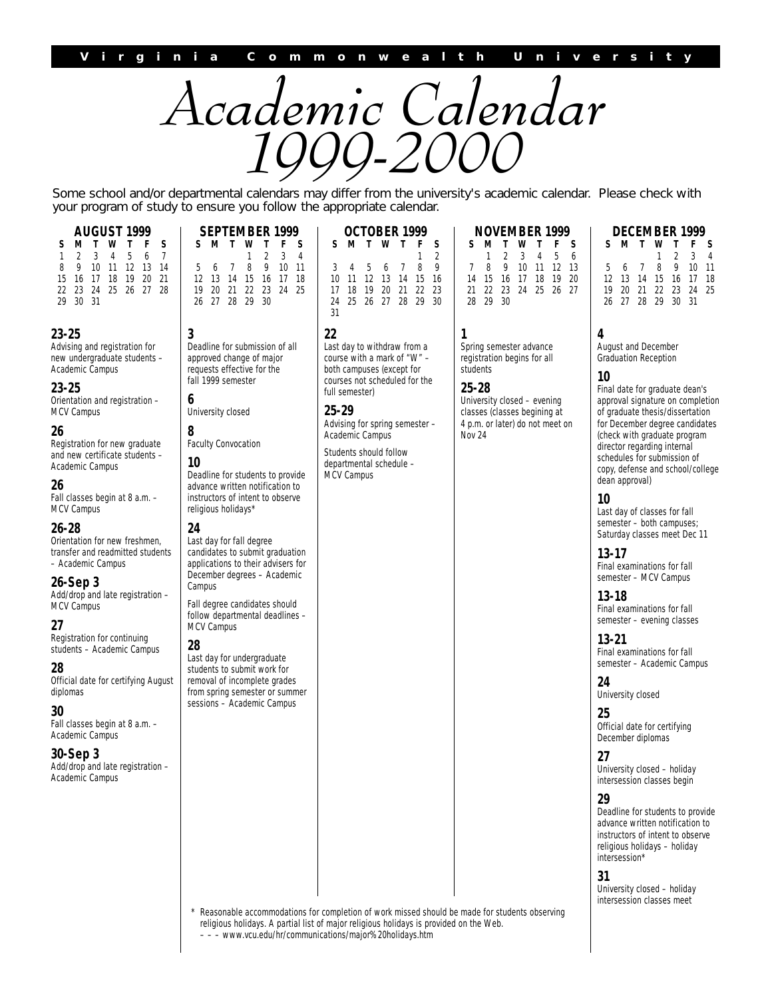

Some school and/or departmental calendars may differ from the university's academic calendar. Please check with your program of study to ensure you follow the appropriate calendar.

| 3<br>22<br>1<br>Deadline for submission of all<br>Last day to withdraw from a<br>Spring semester advance<br>course with a mark of "W" -<br>registration begins for all<br>approved change of major<br>requests effective for the<br>both campuses (except for<br>students<br>fall 1999 semester<br>courses not scheduled for the<br>$25 - 28$<br>full semester)<br>6<br>University closed - evening<br>25-29<br>University closed<br>classes (classes begining at<br>Advising for spring semester -<br>4 p.m. or later) do not meet on<br>8<br>Academic Campus<br><b>Nov 24</b><br><b>Faculty Convocation</b><br>Students should follow<br>10<br>departmental schedule -<br>Deadline for students to provide<br><b>MCV Campus</b><br>advance written notification to<br>instructors of intent to observe<br>religious holidays*<br>24<br>Last day for fall degree<br>candidates to submit graduation<br>applications to their advisers for<br>December degrees - Academic<br>Campus<br>Fall degree candidates should<br>follow departmental deadlines -<br><b>MCV Campus</b><br>28<br>Last day for undergraduate<br>students to submit work for<br>removal of incomplete grades<br>from spring semester or summer<br>sessions - Academic Campus | AUGUST 1999<br>S<br>S<br>м<br>т<br>w<br>Τ<br>F<br>3<br>5<br>7<br>1<br>2<br>4<br>6<br>9<br>10<br>11<br>12 13<br>14<br>8<br>21<br>16<br>17<br>18<br>19<br>20<br>15<br>25 26 27<br>22 23<br>24<br>28<br>30<br>-31<br>29                                                                                                                                                                                                                                                                                                                                                                                                                                                                         | SEPTEMBER 1999<br>S<br>F<br>S<br>м<br>т<br>w<br>т<br>2<br>3<br>4<br>1<br>5<br>7<br>8<br>9<br>$10$ 11<br>6<br>12<br>13<br>- 14<br>15<br>- 16<br>17<br>18<br>21<br>19<br>20<br>22<br>23<br>24 25<br>- 29<br>26<br>27 28<br>- 30 | OCTOBER 1999<br>S<br>S<br>Τ<br>F<br>М<br>W<br>Т<br>2<br>1<br>9<br>3<br>5<br>7<br>8<br>4<br>6<br>-12<br>10<br>11<br>13 14<br>15<br>16<br>17<br>18<br>19<br>20<br>-21<br>22<br>23<br>25<br>26 27 28 29<br>30<br>24<br>31 | <b>NOVEMBER 1999</b><br>S<br>М<br>F<br>Т<br>w<br>Т<br>2<br>3<br>5<br>1<br>4<br>9<br>7<br>8<br>$12-1$<br>10<br>11<br>$\overline{2}$<br>14<br>15<br>16<br>17<br>18<br>19<br>21<br>22<br>23<br>24<br>25<br>26 <sup>2</sup><br>29 30<br>28 |
|-------------------------------------------------------------------------------------------------------------------------------------------------------------------------------------------------------------------------------------------------------------------------------------------------------------------------------------------------------------------------------------------------------------------------------------------------------------------------------------------------------------------------------------------------------------------------------------------------------------------------------------------------------------------------------------------------------------------------------------------------------------------------------------------------------------------------------------------------------------------------------------------------------------------------------------------------------------------------------------------------------------------------------------------------------------------------------------------------------------------------------------------------------------------------------------------------------------------------------------------------|----------------------------------------------------------------------------------------------------------------------------------------------------------------------------------------------------------------------------------------------------------------------------------------------------------------------------------------------------------------------------------------------------------------------------------------------------------------------------------------------------------------------------------------------------------------------------------------------------------------------------------------------------------------------------------------------|-------------------------------------------------------------------------------------------------------------------------------------------------------------------------------------------------------------------------------|------------------------------------------------------------------------------------------------------------------------------------------------------------------------------------------------------------------------|----------------------------------------------------------------------------------------------------------------------------------------------------------------------------------------------------------------------------------------|
|                                                                                                                                                                                                                                                                                                                                                                                                                                                                                                                                                                                                                                                                                                                                                                                                                                                                                                                                                                                                                                                                                                                                                                                                                                                 | 3-25<br>dvising and registration for<br>ew undergraduate students -<br>cademic Campus<br>3-25<br>ientation and registration -<br>ICV Campus<br>6<br>egistration for new graduate<br>nd new certificate students -<br>cademic Campus<br>6<br>ill classes begin at 8 a.m. -<br>ICV Campus<br>6-28<br>rientation for new freshmen,<br>ansfer and readmitted students<br>Academic Campus<br>6-Sep 3<br>dd/drop and late registration -<br>ICV Campus<br>7<br>egistration for continuing<br>udents - Academic Campus<br>8<br>fficial date for certifying August<br>plomas<br>N<br>ill classes begin at 8 a.m. -<br>cademic Campus<br>0-Sep 3<br>dd/drop and late registration -<br>cademic Campus |                                                                                                                                                                                                                               |                                                                                                                                                                                                                        |                                                                                                                                                                                                                                        |

**DECEMBER 1999**

|  |                      | ----            |  |
|--|----------------------|-----------------|--|
|  | S M T W T F S        |                 |  |
|  |                      | $1 \t2 \t3 \t4$ |  |
|  | 5 6 7 8 9 10 11      |                 |  |
|  | 12 13 14 15 16 17 18 |                 |  |
|  | 19 20 21 22 23 24 25 |                 |  |
|  | 26 27 28 29 30 31    |                 |  |

#### **4**

**SMTWT F S** 2 3 4 5 6<br>9 10 11 12 13 10 11 12 13 14 15 16 17 18 19 20 21 22 23 24 25 26 27

August and December Graduation Reception

#### **10**

Final date for graduate dean's approval signature on completion of graduate thesis/dissertation for December degree candidates (check with graduate program director regarding internal schedules for submission of copy, defense and school/college dean approval)

#### **10**

Last day of classes for fall semester – both campuses; Saturday classes meet Dec 11

**13-17**

Final examinations for fall semester – MCV Campus

#### **13-18**

Final examinations for fall semester – evening classes

#### **13-21**

Final examinations for fall semester – Academic Campus

**24** University closed

#### **25**

Official date for certifying December diplomas

#### **27**

University closed – holiday intersession classes begin

#### **29**

Deadline for students to provide advance written notification to instructors of intent to observe religious holidays – holiday intersession\*

#### **31**

University closed – holiday intersession classes meet

Reasonable accommodations for completion of work missed should be made for students observing religious holidays. A partial list of major religious holidays is provided on the Web. – – – www.vcu.edu/hr/communications/major%20holidays.htm

#### **23-25**

15 16<br>22 23

29 30

Advising new unde Academic

#### **23-25**

Orientatio MCV Can

#### **26**

Registration and new Academic

#### **26**

Fall class MCV Cam

#### **26-28**

Orientatio transfer a – Acaden

#### **26-Sep 3**

Add/drop MCV Can

#### **27**

Registrati students

#### **28**

Official da diplomas

#### **30**

Fall class Academic

#### **30-Sep 3**

Add/drop Academi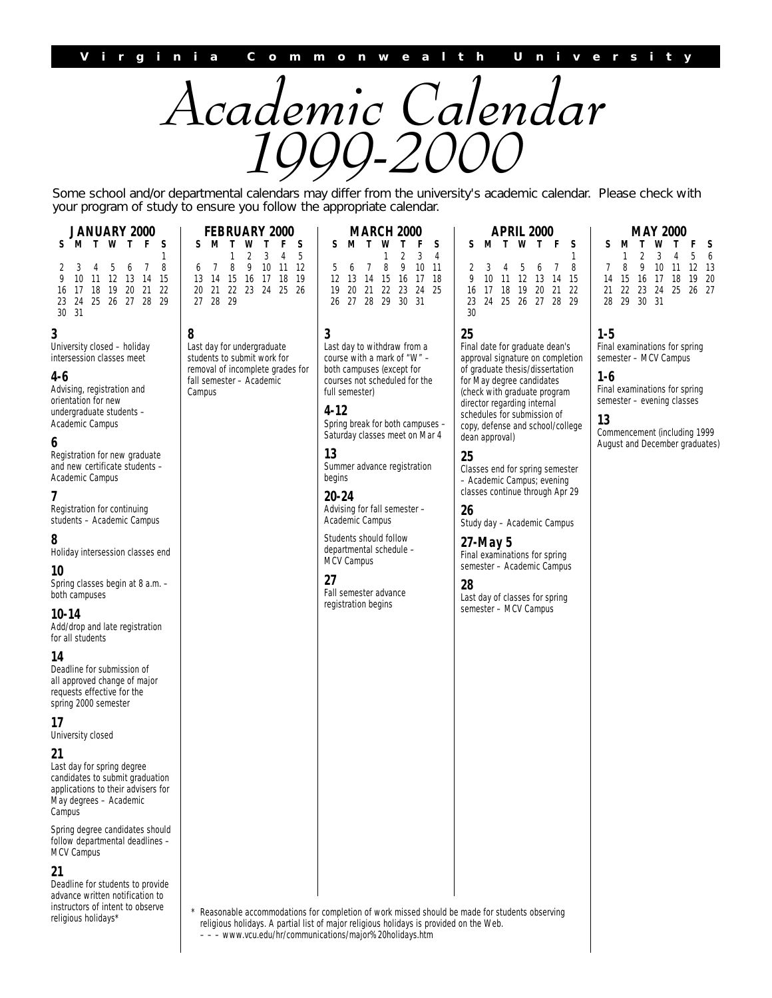

Some school and/or departmental calendars may differ from the university's academic calendar. Please check with your program of study to ensure you follow the appropriate calendar.

> **MARCH 2000 SMTWT F S**

5 6 7 8 9 10 11 12 13 14 15 16 17 18 19 20 21 22 23 24 25 26 27 28 29 30 31

1234

|               |  | <b>JANUARY 2000</b>  |  |              |
|---------------|--|----------------------|--|--------------|
| S.            |  | <b>MTWTF</b>         |  | S            |
|               |  |                      |  | $\mathbf{1}$ |
|               |  | 2 3 4 5 6 7 8        |  |              |
|               |  | 9 10 11 12 13 14 15  |  |              |
|               |  | 16 17 18 19 20 21 22 |  |              |
|               |  | 23 24 25 26 27 28 29 |  |              |
| $30 \quad 31$ |  |                      |  |              |

### **3**

University closed – holiday intersession classes meet

#### **4-6**

Advising, registration and orientation for new undergraduate students – Academic Campus

#### **6**

Registration for new graduate and new certificate students – Academic Campus

#### **7**

Registration for continuing students – Academic Campus

### **8**

Holiday intersession classes end

#### **10**

Spring classes begin at 8 a.m. – both campuses

#### **10-14**

Add/drop and late registration for all students

#### **14**

Deadline for submission of all approved change of major requests effective for the spring 2000 semester

**17**

University closed

#### **21**

Last day for spring degree candidates to submit graduation applications to their advisers for May degrees – Academic Campus

Spring degree candidates should follow departmental deadlines – MCV Campus

#### **21**

Deadline for students to provide advance written notification to instructors of intent to observe religious holidays\*

**SMTWT F S**  $1\quad2\quad3$ 6 7 8 9 10 11 12 13 14 15 16 17 18 19 20 21 22 23 24 25 26 27 28 29

**FEBRUARY 2000**

Last day for undergraduate students to submit work for removal of incomplete grades for fall semester – Academic Campus

**8**

Last day to withdraw from a course with a mark of "W" – both campuses (except for courses not scheduled for the full semester)

**4-12** Spring break for both campuses – Saturday classes meet on Mar 4

**13**

**3**

Summer advance registration begins

**20-24**

Advising for fall semester – Academic Campus

Students should follow departmental schedule – MCV Campus

**27**

Fall semester advance registration begins

# 30

**25** Final date for graduate dean's approval signature on completion of graduate thesis/dissertation for May degree candidates (check with graduate program director regarding internal schedules for submission of copy, defense and school/college

**APRIL 2000 SMTWT F S**

2345678 9 10 11 12 13 14 15 16 17 18 19 20 21 22 23 24 25 26 27 28 29

#### **25**

dean approval)

Classes end for spring semester – Academic Campus; evening classes continue through Apr 29

**26** Study day – Academic Campus

**27-May 5** Final examinations for spring semester – Academic Campus

**28**

Last day of classes for spring semester – MCV Campus

#### **MAY 2000**

| S. |                      | MTWTFS      |  |  |
|----|----------------------|-------------|--|--|
|    |                      | 1 2 3 4 5 6 |  |  |
|    | 7 8 9 10 11 12 13    |             |  |  |
|    | 14 15 16 17 18 19 20 |             |  |  |
|    | 21 22 23 24 25 26 27 |             |  |  |
|    | 28 29 30 31          |             |  |  |
|    |                      |             |  |  |

### **1-5**

1

Final examinations for spring semester – MCV Campus

#### **1-6**

Final examinations for spring semester – evening classes

#### **13**

Commencement (including 1999 August and December graduates)

Reasonable accommodations for completion of work missed should be made for students observing religious holidays. A partial list of major religious holidays is provided on the Web. – – – www.vcu.edu/hr/communications/major%20holidays.htm